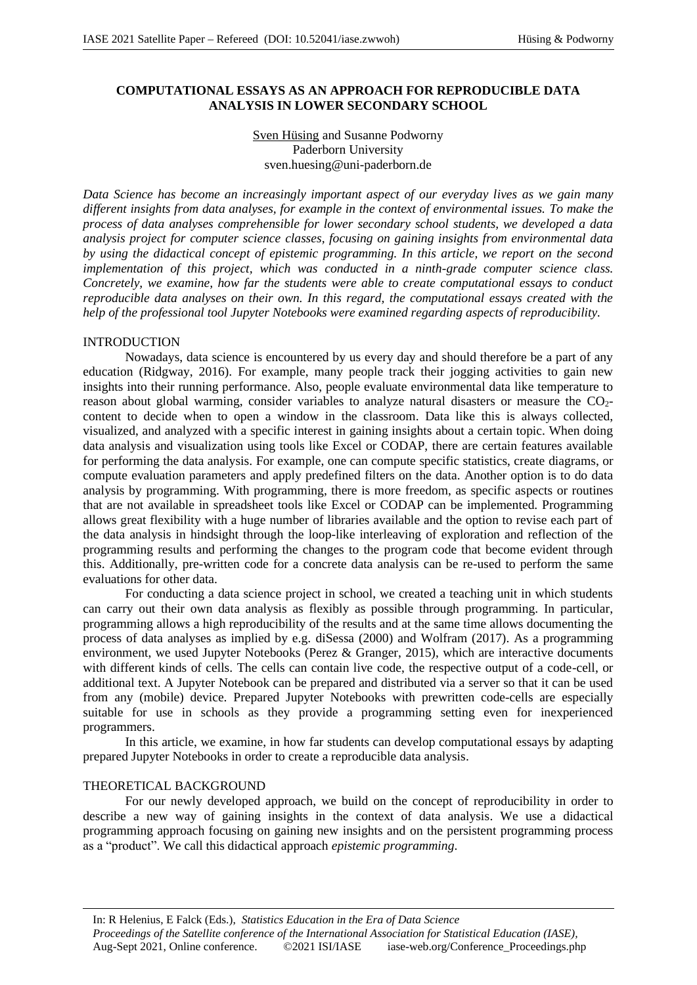## **COMPUTATIONAL ESSAYS AS AN APPROACH FOR REPRODUCIBLE DATA ANALYSIS IN LOWER SECONDARY SCHOOL**

# Sven Hüsing and Susanne Podworny Paderborn University sven.huesing@uni-paderborn.de

*Data Science has become an increasingly important aspect of our everyday lives as we gain many different insights from data analyses, for example in the context of environmental issues. To make the process of data analyses comprehensible for lower secondary school students, we developed a data analysis project for computer science classes, focusing on gaining insights from environmental data by using the didactical concept of epistemic programming. In this article, we report on the second implementation of this project, which was conducted in a ninth-grade computer science class. Concretely, we examine, how far the students were able to create computational essays to conduct reproducible data analyses on their own. In this regard, the computational essays created with the help of the professional tool Jupyter Notebooks were examined regarding aspects of reproducibility.*

## INTRODUCTION

Nowadays, data science is encountered by us every day and should therefore be a part of any education (Ridgway, 2016). For example, many people track their jogging activities to gain new insights into their running performance. Also, people evaluate environmental data like temperature to reason about global warming, consider variables to analyze natural disasters or measure the CO<sub>2</sub>content to decide when to open a window in the classroom. Data like this is always collected, visualized, and analyzed with a specific interest in gaining insights about a certain topic. When doing data analysis and visualization using tools like Excel or CODAP, there are certain features available for performing the data analysis. For example, one can compute specific statistics, create diagrams, or compute evaluation parameters and apply predefined filters on the data. Another option is to do data analysis by programming. With programming, there is more freedom, as specific aspects or routines that are not available in spreadsheet tools like Excel or CODAP can be implemented. Programming allows great flexibility with a huge number of libraries available and the option to revise each part of the data analysis in hindsight through the loop-like interleaving of exploration and reflection of the programming results and performing the changes to the program code that become evident through this. Additionally, pre-written code for a concrete data analysis can be re-used to perform the same evaluations for other data.

For conducting a data science project in school, we created a teaching unit in which students can carry out their own data analysis as flexibly as possible through programming. In particular, programming allows a high reproducibility of the results and at the same time allows documenting the process of data analyses as implied by e.g. diSessa (2000) and Wolfram (2017). As a programming environment, we used Jupyter Notebooks (Perez & Granger, 2015), which are interactive documents with different kinds of cells. The cells can contain live code, the respective output of a code-cell, or additional text. A Jupyter Notebook can be prepared and distributed via a server so that it can be used from any (mobile) device. Prepared Jupyter Notebooks with prewritten code-cells are especially suitable for use in schools as they provide a programming setting even for inexperienced programmers.

In this article, we examine, in how far students can develop computational essays by adapting prepared Jupyter Notebooks in order to create a reproducible data analysis.

## THEORETICAL BACKGROUND

For our newly developed approach, we build on the concept of reproducibility in order to describe a new way of gaining insights in the context of data analysis. We use a didactical programming approach focusing on gaining new insights and on the persistent programming process as a "product". We call this didactical approach *epistemic programming*.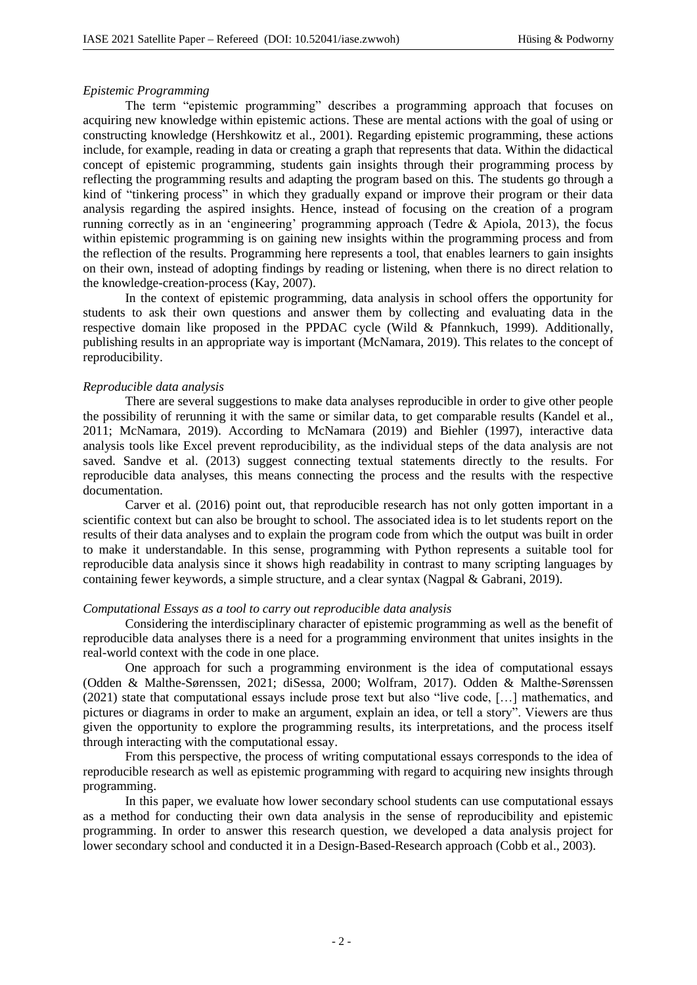### *Epistemic Programming*

The term "epistemic programming" describes a programming approach that focuses on acquiring new knowledge within epistemic actions. These are mental actions with the goal of using or constructing knowledge (Hershkowitz et al., 2001). Regarding epistemic programming, these actions include, for example, reading in data or creating a graph that represents that data. Within the didactical concept of epistemic programming, students gain insights through their programming process by reflecting the programming results and adapting the program based on this. The students go through a kind of "tinkering process" in which they gradually expand or improve their program or their data analysis regarding the aspired insights. Hence, instead of focusing on the creation of a program running correctly as in an 'engineering' programming approach (Tedre & Apiola, 2013), the focus within epistemic programming is on gaining new insights within the programming process and from the reflection of the results. Programming here represents a tool, that enables learners to gain insights on their own, instead of adopting findings by reading or listening, when there is no direct relation to the knowledge-creation-process (Kay, 2007).

In the context of epistemic programming, data analysis in school offers the opportunity for students to ask their own questions and answer them by collecting and evaluating data in the respective domain like proposed in the PPDAC cycle (Wild & Pfannkuch, 1999). Additionally, publishing results in an appropriate way is important (McNamara, 2019). This relates to the concept of reproducibility.

### *Reproducible data analysis*

There are several suggestions to make data analyses reproducible in order to give other people the possibility of rerunning it with the same or similar data, to get comparable results (Kandel et al., 2011; McNamara, 2019). According to McNamara (2019) and Biehler (1997), interactive data analysis tools like Excel prevent reproducibility, as the individual steps of the data analysis are not saved. Sandve et al. (2013) suggest connecting textual statements directly to the results. For reproducible data analyses, this means connecting the process and the results with the respective documentation.

Carver et al. (2016) point out, that reproducible research has not only gotten important in a scientific context but can also be brought to school. The associated idea is to let students report on the results of their data analyses and to explain the program code from which the output was built in order to make it understandable. In this sense, programming with Python represents a suitable tool for reproducible data analysis since it shows high readability in contrast to many scripting languages by containing fewer keywords, a simple structure, and a clear syntax (Nagpal & Gabrani, 2019).

### *Computational Essays as a tool to carry out reproducible data analysis*

Considering the interdisciplinary character of epistemic programming as well as the benefit of reproducible data analyses there is a need for a programming environment that unites insights in the real-world context with the code in one place.

One approach for such a programming environment is the idea of computational essays (Odden & Malthe-Sørenssen, 2021; diSessa, 2000; Wolfram, 2017). Odden & Malthe-Sørenssen (2021) state that computational essays include prose text but also "live code, […] mathematics, and pictures or diagrams in order to make an argument, explain an idea, or tell a story". Viewers are thus given the opportunity to explore the programming results, its interpretations, and the process itself through interacting with the computational essay.

From this perspective, the process of writing computational essays corresponds to the idea of reproducible research as well as epistemic programming with regard to acquiring new insights through programming.

In this paper, we evaluate how lower secondary school students can use computational essays as a method for conducting their own data analysis in the sense of reproducibility and epistemic programming. In order to answer this research question, we developed a data analysis project for lower secondary school and conducted it in a Design-Based-Research approach (Cobb et al., 2003).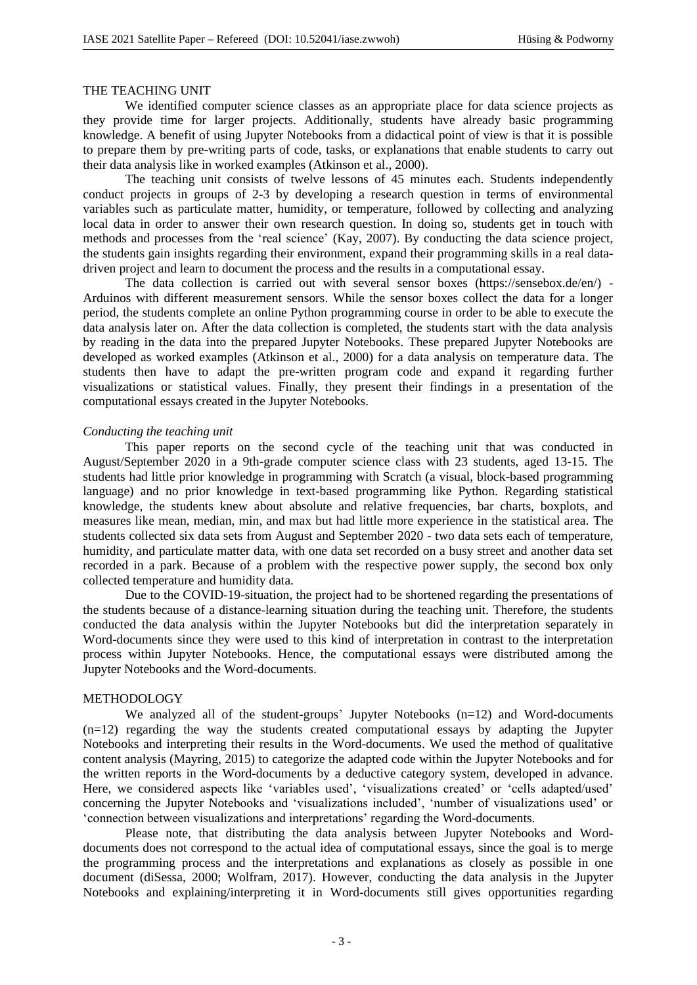# THE TEACHING UNIT

We identified computer science classes as an appropriate place for data science projects as they provide time for larger projects. Additionally, students have already basic programming knowledge. A benefit of using Jupyter Notebooks from a didactical point of view is that it is possible to prepare them by pre-writing parts of code, tasks, or explanations that enable students to carry out their data analysis like in worked examples (Atkinson et al., 2000).

The teaching unit consists of twelve lessons of 45 minutes each. Students independently conduct projects in groups of 2-3 by developing a research question in terms of environmental variables such as particulate matter, humidity, or temperature, followed by collecting and analyzing local data in order to answer their own research question. In doing so, students get in touch with methods and processes from the 'real science' (Kay, 2007). By conducting the data science project, the students gain insights regarding their environment, expand their programming skills in a real datadriven project and learn to document the process and the results in a computational essay.

The data collection is carried out with several sensor boxes (https://sensebox.de/en/) - Arduinos with different measurement sensors. While the sensor boxes collect the data for a longer period, the students complete an online Python programming course in order to be able to execute the data analysis later on. After the data collection is completed, the students start with the data analysis by reading in the data into the prepared Jupyter Notebooks. These prepared Jupyter Notebooks are developed as worked examples (Atkinson et al., 2000) for a data analysis on temperature data. The students then have to adapt the pre-written program code and expand it regarding further visualizations or statistical values. Finally, they present their findings in a presentation of the computational essays created in the Jupyter Notebooks.

### *Conducting the teaching unit*

This paper reports on the second cycle of the teaching unit that was conducted in August/September 2020 in a 9th-grade computer science class with 23 students, aged 13-15. The students had little prior knowledge in programming with Scratch (a visual, block-based programming language) and no prior knowledge in text-based programming like Python. Regarding statistical knowledge, the students knew about absolute and relative frequencies, bar charts, boxplots, and measures like mean, median, min, and max but had little more experience in the statistical area. The students collected six data sets from August and September 2020 - two data sets each of temperature, humidity, and particulate matter data, with one data set recorded on a busy street and another data set recorded in a park. Because of a problem with the respective power supply, the second box only collected temperature and humidity data.

Due to the COVID-19-situation, the project had to be shortened regarding the presentations of the students because of a distance-learning situation during the teaching unit. Therefore, the students conducted the data analysis within the Jupyter Notebooks but did the interpretation separately in Word-documents since they were used to this kind of interpretation in contrast to the interpretation process within Jupyter Notebooks. Hence, the computational essays were distributed among the Jupyter Notebooks and the Word-documents.

## METHODOLOGY

We analyzed all of the student-groups' Jupyter Notebooks (n=12) and Word-documents (n=12) regarding the way the students created computational essays by adapting the Jupyter Notebooks and interpreting their results in the Word-documents. We used the method of qualitative content analysis (Mayring, 2015) to categorize the adapted code within the Jupyter Notebooks and for the written reports in the Word-documents by a deductive category system, developed in advance. Here, we considered aspects like 'variables used', 'visualizations created' or 'cells adapted/used' concerning the Jupyter Notebooks and 'visualizations included', 'number of visualizations used' or 'connection between visualizations and interpretations' regarding the Word-documents.

Please note, that distributing the data analysis between Jupyter Notebooks and Worddocuments does not correspond to the actual idea of computational essays, since the goal is to merge the programming process and the interpretations and explanations as closely as possible in one document (diSessa, 2000; Wolfram, 2017). However, conducting the data analysis in the Jupyter Notebooks and explaining/interpreting it in Word-documents still gives opportunities regarding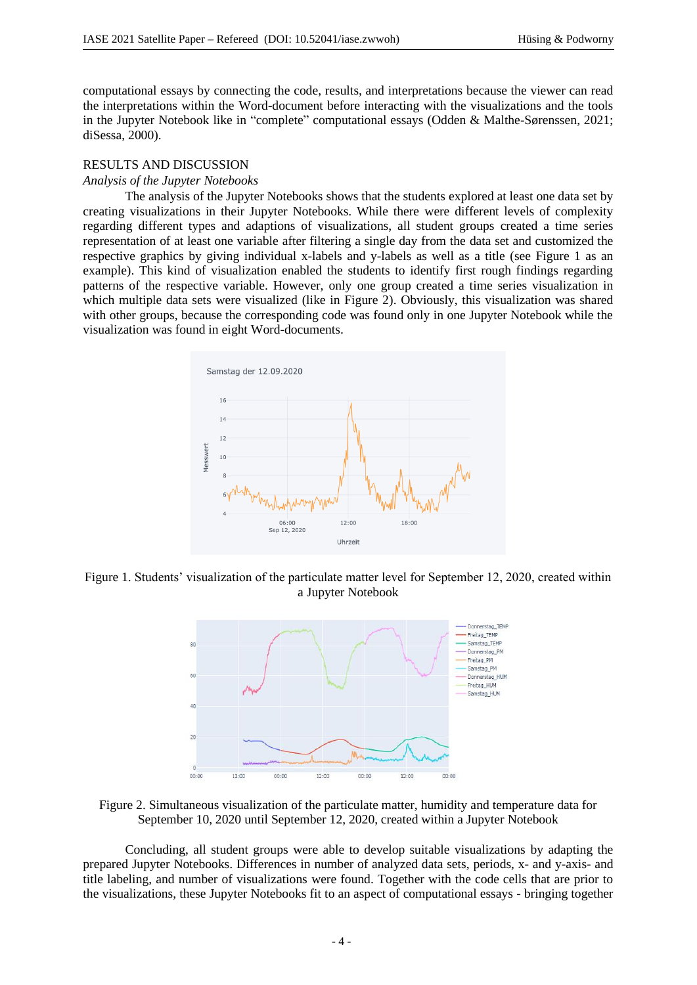computational essays by connecting the code, results, and interpretations because the viewer can read the interpretations within the Word-document before interacting with the visualizations and the tools in the Jupyter Notebook like in "complete" computational essays (Odden & Malthe-Sørenssen, 2021; diSessa, 2000).

### RESULTS AND DISCUSSION

#### *Analysis of the Jupyter Notebooks*

The analysis of the Jupyter Notebooks shows that the students explored at least one data set by creating visualizations in their Jupyter Notebooks. While there were different levels of complexity regarding different types and adaptions of visualizations, all student groups created a time series representation of at least one variable after filtering a single day from the data set and customized the respective graphics by giving individual x-labels and y-labels as well as a title (see Figure 1 as an example). This kind of visualization enabled the students to identify first rough findings regarding patterns of the respective variable. However, only one group created a time series visualization in which multiple data sets were visualized (like in Figure 2). Obviously, this visualization was shared with other groups, because the corresponding code was found only in one Jupyter Notebook while the visualization was found in eight Word-documents.



Figure 1. Students' visualization of the particulate matter level for September 12, 2020, created within a Jupyter Notebook



Figure 2. Simultaneous visualization of the particulate matter, humidity and temperature data for September 10, 2020 until September 12, 2020, created within a Jupyter Notebook

Concluding, all student groups were able to develop suitable visualizations by adapting the prepared Jupyter Notebooks. Differences in number of analyzed data sets, periods, x- and y-axis- and title labeling, and number of visualizations were found. Together with the code cells that are prior to the visualizations, these Jupyter Notebooks fit to an aspect of computational essays - bringing together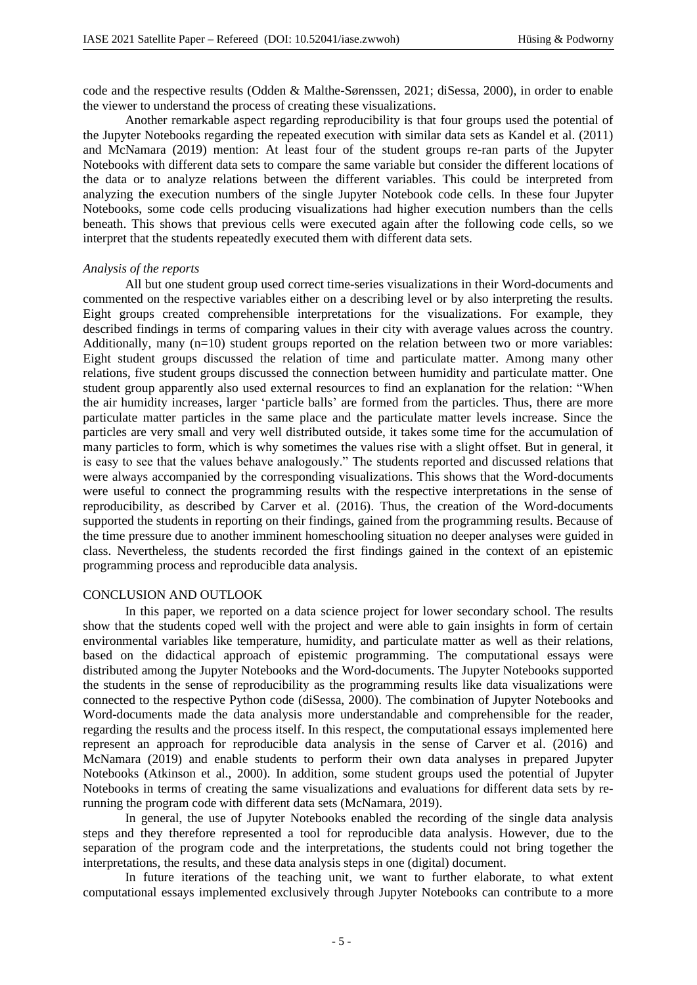code and the respective results (Odden & Malthe-Sørenssen, 2021; diSessa, 2000), in order to enable the viewer to understand the process of creating these visualizations.

Another remarkable aspect regarding reproducibility is that four groups used the potential of the Jupyter Notebooks regarding the repeated execution with similar data sets as Kandel et al. (2011) and McNamara (2019) mention: At least four of the student groups re-ran parts of the Jupyter Notebooks with different data sets to compare the same variable but consider the different locations of the data or to analyze relations between the different variables. This could be interpreted from analyzing the execution numbers of the single Jupyter Notebook code cells. In these four Jupyter Notebooks, some code cells producing visualizations had higher execution numbers than the cells beneath. This shows that previous cells were executed again after the following code cells, so we interpret that the students repeatedly executed them with different data sets.

## *Analysis of the reports*

All but one student group used correct time-series visualizations in their Word-documents and commented on the respective variables either on a describing level or by also interpreting the results. Eight groups created comprehensible interpretations for the visualizations. For example, they described findings in terms of comparing values in their city with average values across the country. Additionally, many (n=10) student groups reported on the relation between two or more variables: Eight student groups discussed the relation of time and particulate matter. Among many other relations, five student groups discussed the connection between humidity and particulate matter. One student group apparently also used external resources to find an explanation for the relation: "When the air humidity increases, larger 'particle balls' are formed from the particles. Thus, there are more particulate matter particles in the same place and the particulate matter levels increase. Since the particles are very small and very well distributed outside, it takes some time for the accumulation of many particles to form, which is why sometimes the values rise with a slight offset. But in general, it is easy to see that the values behave analogously." The students reported and discussed relations that were always accompanied by the corresponding visualizations. This shows that the Word-documents were useful to connect the programming results with the respective interpretations in the sense of reproducibility, as described by Carver et al. (2016). Thus, the creation of the Word-documents supported the students in reporting on their findings, gained from the programming results. Because of the time pressure due to another imminent homeschooling situation no deeper analyses were guided in class. Nevertheless, the students recorded the first findings gained in the context of an epistemic programming process and reproducible data analysis.

### CONCLUSION AND OUTLOOK

In this paper, we reported on a data science project for lower secondary school. The results show that the students coped well with the project and were able to gain insights in form of certain environmental variables like temperature, humidity, and particulate matter as well as their relations, based on the didactical approach of epistemic programming. The computational essays were distributed among the Jupyter Notebooks and the Word-documents. The Jupyter Notebooks supported the students in the sense of reproducibility as the programming results like data visualizations were connected to the respective Python code (diSessa, 2000). The combination of Jupyter Notebooks and Word-documents made the data analysis more understandable and comprehensible for the reader, regarding the results and the process itself. In this respect, the computational essays implemented here represent an approach for reproducible data analysis in the sense of Carver et al. (2016) and McNamara (2019) and enable students to perform their own data analyses in prepared Jupyter Notebooks (Atkinson et al., 2000). In addition, some student groups used the potential of Jupyter Notebooks in terms of creating the same visualizations and evaluations for different data sets by rerunning the program code with different data sets (McNamara, 2019).

In general, the use of Jupyter Notebooks enabled the recording of the single data analysis steps and they therefore represented a tool for reproducible data analysis. However, due to the separation of the program code and the interpretations, the students could not bring together the interpretations, the results, and these data analysis steps in one (digital) document.

In future iterations of the teaching unit, we want to further elaborate, to what extent computational essays implemented exclusively through Jupyter Notebooks can contribute to a more